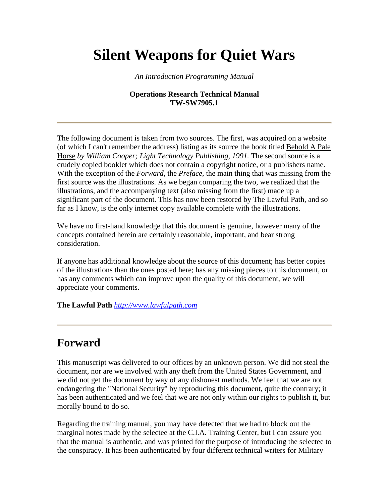# **Silent Weapons for Quiet Wars**

*An Introduction Programming Manual*

#### **Operations Research Technical Manual TW-SW7905.1**

The following document is taken from two sources. The first, was acquired on a website (of which I can't remember the address) listing as its source the book titled Behold A Pale Horse *by William Cooper; Light Technology Publishing, 1991.* The second source is a crudely copied booklet which does not contain a copyright notice, or a publishers name. With the exception of the *Forward*, the *Preface*, the main thing that was missing from the first source was the illustrations. As we began comparing the two, we realized that the illustrations, and the accompanying text (also missing from the first) made up a significant part of the document. This has now been restored by The Lawful Path, and so far as I know, is the only internet copy available complete with the illustrations.

We have no first-hand knowledge that this document is genuine, however many of the concepts contained herein are certainly reasonable, important, and bear strong consideration.

If anyone has additional knowledge about the source of this document; has better copies of the illustrations than the ones posted here; has any missing pieces to this document, or has any comments which can improve upon the quality of this document, we will appreciate your comments.

#### **The Lawful Path** *http://www.lawfulpath.com*

### **Forward**

This manuscript was delivered to our offices by an unknown person. We did not steal the document, nor are we involved with any theft from the United States Government, and we did not get the document by way of any dishonest methods. We feel that we are not endangering the "National Security" by reproducing this document, quite the contrary; it has been authenticated and we feel that we are not only within our rights to publish it, but morally bound to do so.

Regarding the training manual, you may have detected that we had to block out the marginal notes made by the selectee at the C.I.A. Training Center, but I can assure you that the manual is authentic, and was printed for the purpose of introducing the selectee to the conspiracy. It has been authenticated by four different technical writers for Military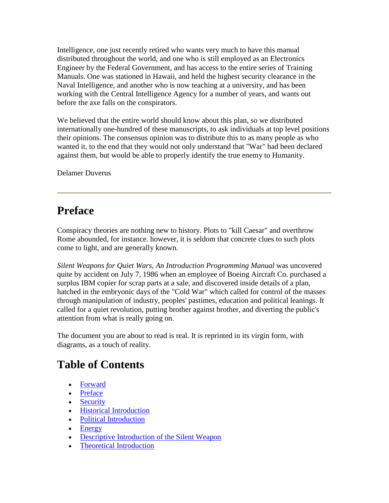Intelligence, one just recently retired who wants very much to have this manual distributed throughout the world, and one who is still employed as an Electronics Engineer by the Federal Government, and has access to the entire series of Training Manuals. One was stationed in Hawaii, and held the highest security clearance in the Naval Intelligence, and another who is now teaching at a university, and has been working with the Central Intelligence Agency for a number of years, and wants out before the axe falls on the conspirators.

We believed that the entire world should know about this plan, so we distributed internationally one-hundred of these manuscripts, to ask individuals at top level positions their opinions. The consensus opinion was to distribute this to as many people as who wanted it, to the end that they would not only understand that "War" had been declared against them, but would be able to properly identify the true enemy to Humanity.

Delamer Duverus

### **Preface**

Conspiracy theories are nothing new to history. Plots to "kill Caesar" and overthrow Rome abounded, for instance. however, it is seldom that concrete clues to such plots come to light, and are generally known.

*Silent Weapons for Quiet Wars, An Introduction Programming Manual* was uncovered quite by accident on July 7, 1986 when an employee of Boeing Aircraft Co. purchased a surplus IBM copier for scrap parts at a sale, and discovered inside details of a plan, hatched in the embryonic days of the "Cold War" which called for control of the masses through manipulation of industry, peoples' pastimes, education and political leanings. It called for a quiet revolution, putting brother against brother, and diverting the public's attention from what is really going on.

The document you are about to read is real. It is reprinted in its virgin form, with diagrams, as a touch of reality.

## **Table of Contents**

- Forward
- Preface
- Security
- Historical Introduction
- Political Introduction
- Energy
- Descriptive Introduction of the Silent Weapon
- Theoretical Introduction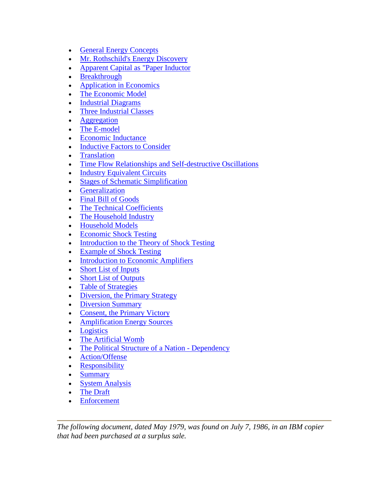- General Energy Concepts
- Mr. Rothschild's Energy Discovery
- Apparent Capital as "Paper Inductor
- Breakthrough
- Application in Economics
- The Economic Model
- Industrial Diagrams
- Three Industrial Classes
- Aggregation
- The E-model
- Economic Inductance
- Inductive Factors to Consider
- Translation
- Time Flow Relationships and Self-destructive Oscillations
- Industry Equivalent Circuits
- Stages of Schematic Simplification
- **•** Generalization
- Final Bill of Goods
- The Technical Coefficients
- The Household Industry
- Household Models
- Economic Shock Testing
- Introduction to the Theory of Shock Testing
- Example of Shock Testing
- Introduction to Economic Amplifiers
- Short List of Inputs
- Short List of Outputs
- Table of Strategies
- Diversion, the Primary Strategy
- Diversion Summary
- Consent, the Primary Victory
- **Amplification Energy Sources**
- Logistics
- The Artificial Womb
- The Political Structure of a Nation Dependency
- Action/Offense
- Responsibility
- Summary
- System Analysis
- The Draft
- **Enforcement**

*The following document, dated May 1979, was found on July 7, 1986, in an IBM copier that had been purchased at a surplus sale.*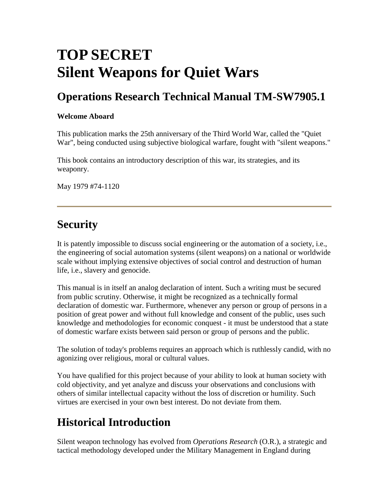# **TOP SECRET Silent Weapons for Quiet Wars**

## **Operations Research Technical Manual TM-SW7905.1**

#### **Welcome Aboard**

This publication marks the 25th anniversary of the Third World War, called the "Quiet War", being conducted using subjective biological warfare, fought with "silent weapons."

This book contains an introductory description of this war, its strategies, and its weaponry.

May 1979 #74-1120

### **Security**

It is patently impossible to discuss social engineering or the automation of a society, i.e., the engineering of social automation systems (silent weapons) on a national or worldwide scale without implying extensive objectives of social control and destruction of human life, i.e., slavery and genocide.

This manual is in itself an analog declaration of intent. Such a writing must be secured from public scrutiny. Otherwise, it might be recognized as a technically formal declaration of domestic war. Furthermore, whenever any person or group of persons in a position of great power and without full knowledge and consent of the public, uses such knowledge and methodologies for economic conquest - it must be understood that a state of domestic warfare exists between said person or group of persons and the public.

The solution of today's problems requires an approach which is ruthlessly candid, with no agonizing over religious, moral or cultural values.

You have qualified for this project because of your ability to look at human society with cold objectivity, and yet analyze and discuss your observations and conclusions with others of similar intellectual capacity without the loss of discretion or humility. Such virtues are exercised in your own best interest. Do not deviate from them.

## **Historical Introduction**

Silent weapon technology has evolved from *Operations Research* (O.R.), a strategic and tactical methodology developed under the Military Management in England during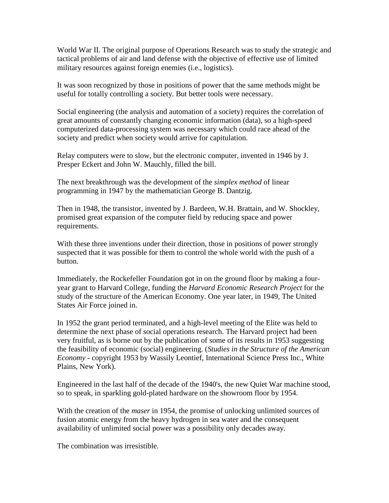World War II. The original purpose of Operations Research was to study the strategic and tactical problems of air and land defense with the objective of effective use of limited military resources against foreign enemies (i.e., logistics).

It was soon recognized by those in positions of power that the same methods might be useful for totally controlling a society. But better tools were necessary.

Social engineering (the analysis and automation of a society) requires the correlation of great amounts of constantly changing economic information (data), so a high-speed computerized data-processing system was necessary which could race ahead of the society and predict when society would arrive for capitulation.

Relay computers were to slow, but the electronic computer, invented in 1946 by J. Presper Eckert and John W. Mauchly, filled the bill.

The next breakthrough was the development of the *simplex method* of linear programming in 1947 by the mathematician George B. Dantzig.

Then in 1948, the transistor, invented by J. Bardeen, W.H. Brattain, and W. Shockley, promised great expansion of the computer field by reducing space and power requirements.

With these three inventions under their direction, those in positions of power strongly suspected that it was possible for them to control the whole world with the push of a button.

Immediately, the Rockefeller Foundation got in on the ground floor by making a fouryear grant to Harvard College, funding the *Harvard Economic Research Project* for the study of the structure of the American Economy. One year later, in 1949, The United States Air Force joined in.

In 1952 the grant period terminated, and a high-level meeting of the Elite was held to determine the next phase of social operations research. The Harvard project had been very fruitful, as is borne out by the publication of some of its results in 1953 suggesting the feasibility of economic (social) engineering. (*Studies in the Structure of the American Economy* - copyright 1953 by Wassily Leontief, International Science Press Inc., White Plains, New York).

Engineered in the last half of the decade of the 1940's, the new Quiet War machine stood, so to speak, in sparkling gold-plated hardware on the showroom floor by 1954.

With the creation of the *maser* in 1954, the promise of unlocking unlimited sources of fusion atomic energy from the heavy hydrogen in sea water and the consequent availability of unlimited social power was a possibility only decades away.

The combination was irresistible.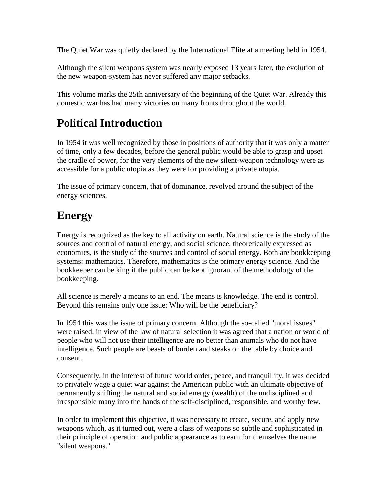The Quiet War was quietly declared by the International Elite at a meeting held in 1954.

Although the silent weapons system was nearly exposed 13 years later, the evolution of the new weapon-system has never suffered any major setbacks.

This volume marks the 25th anniversary of the beginning of the Quiet War. Already this domestic war has had many victories on many fronts throughout the world.

## **Political Introduction**

In 1954 it was well recognized by those in positions of authority that it was only a matter of time, only a few decades, before the general public would be able to grasp and upset the cradle of power, for the very elements of the new silent-weapon technology were as accessible for a public utopia as they were for providing a private utopia.

The issue of primary concern, that of dominance, revolved around the subject of the energy sciences.

## **Energy**

Energy is recognized as the key to all activity on earth. Natural science is the study of the sources and control of natural energy, and social science, theoretically expressed as economics, is the study of the sources and control of social energy. Both are bookkeeping systems: mathematics. Therefore, mathematics is the primary energy science. And the bookkeeper can be king if the public can be kept ignorant of the methodology of the bookkeeping.

All science is merely a means to an end. The means is knowledge. The end is control. Beyond this remains only one issue: Who will be the beneficiary?

In 1954 this was the issue of primary concern. Although the so-called "moral issues" were raised, in view of the law of natural selection it was agreed that a nation or world of people who will not use their intelligence are no better than animals who do not have intelligence. Such people are beasts of burden and steaks on the table by choice and consent.

Consequently, in the interest of future world order, peace, and tranquillity, it was decided to privately wage a quiet war against the American public with an ultimate objective of permanently shifting the natural and social energy (wealth) of the undisciplined and irresponsible many into the hands of the self-disciplined, responsible, and worthy few.

In order to implement this objective, it was necessary to create, secure, and apply new weapons which, as it turned out, were a class of weapons so subtle and sophisticated in their principle of operation and public appearance as to earn for themselves the name "silent weapons."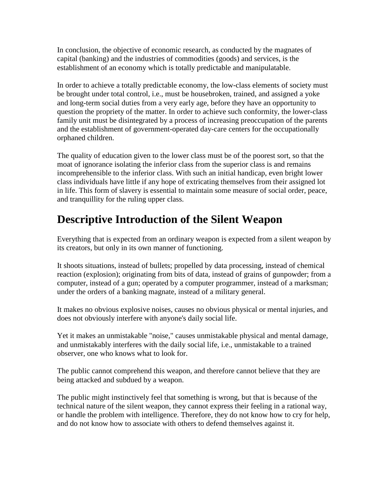In conclusion, the objective of economic research, as conducted by the magnates of capital (banking) and the industries of commodities (goods) and services, is the establishment of an economy which is totally predictable and manipulatable.

In order to achieve a totally predictable economy, the low-class elements of society must be brought under total control, i.e., must be housebroken, trained, and assigned a yoke and long-term social duties from a very early age, before they have an opportunity to question the propriety of the matter. In order to achieve such conformity, the lower-class family unit must be disintegrated by a process of increasing preoccupation of the parents and the establishment of government-operated day-care centers for the occupationally orphaned children.

The quality of education given to the lower class must be of the poorest sort, so that the moat of ignorance isolating the inferior class from the superior class is and remains incomprehensible to the inferior class. With such an initial handicap, even bright lower class individuals have little if any hope of extricating themselves from their assigned lot in life. This form of slavery is essential to maintain some measure of social order, peace, and tranquillity for the ruling upper class.

## **Descriptive Introduction of the Silent Weapon**

Everything that is expected from an ordinary weapon is expected from a silent weapon by its creators, but only in its own manner of functioning.

It shoots situations, instead of bullets; propelled by data processing, instead of chemical reaction (explosion); originating from bits of data, instead of grains of gunpowder; from a computer, instead of a gun; operated by a computer programmer, instead of a marksman; under the orders of a banking magnate, instead of a military general.

It makes no obvious explosive noises, causes no obvious physical or mental injuries, and does not obviously interfere with anyone's daily social life.

Yet it makes an unmistakable "noise," causes unmistakable physical and mental damage, and unmistakably interferes with the daily social life, i.e., unmistakable to a trained observer, one who knows what to look for.

The public cannot comprehend this weapon, and therefore cannot believe that they are being attacked and subdued by a weapon.

The public might instinctively feel that something is wrong, but that is because of the technical nature of the silent weapon, they cannot express their feeling in a rational way, or handle the problem with intelligence. Therefore, they do not know how to cry for help, and do not know how to associate with others to defend themselves against it.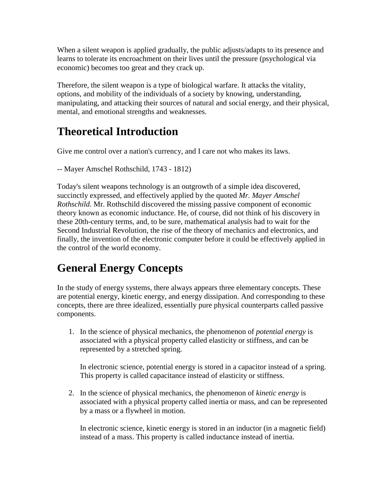When a silent weapon is applied gradually, the public adjusts/adapts to its presence and learns to tolerate its encroachment on their lives until the pressure (psychological via economic) becomes too great and they crack up.

Therefore, the silent weapon is a type of biological warfare. It attacks the vitality, options, and mobility of the individuals of a society by knowing, understanding, manipulating, and attacking their sources of natural and social energy, and their physical, mental, and emotional strengths and weaknesses.

## **Theoretical Introduction**

Give me control over a nation's currency, and I care not who makes its laws.

-- Mayer Amschel Rothschild, 1743 - 1812)

Today's silent weapons technology is an outgrowth of a simple idea discovered, succinctly expressed, and effectively applied by the quoted *Mr. Mayer Amschel Rothschild*. Mr. Rothschild discovered the missing passive component of economic theory known as economic inductance. He, of course, did not think of his discovery in these 20th-century terms, and, to be sure, mathematical analysis had to wait for the Second Industrial Revolution, the rise of the theory of mechanics and electronics, and finally, the invention of the electronic computer before it could be effectively applied in the control of the world economy.

## **General Energy Concepts**

In the study of energy systems, there always appears three elementary concepts. These are potential energy, kinetic energy, and energy dissipation. And corresponding to these concepts, there are three idealized, essentially pure physical counterparts called passive components.

1. In the science of physical mechanics, the phenomenon of *potential energy* is associated with a physical property called elasticity or stiffness, and can be represented by a stretched spring.

In electronic science, potential energy is stored in a capacitor instead of a spring. This property is called capacitance instead of elasticity or stiffness.

2. In the science of physical mechanics, the phenomenon of *kinetic energy* is associated with a physical property called inertia or mass, and can be represented by a mass or a flywheel in motion.

In electronic science, kinetic energy is stored in an inductor (in a magnetic field) instead of a mass. This property is called inductance instead of inertia.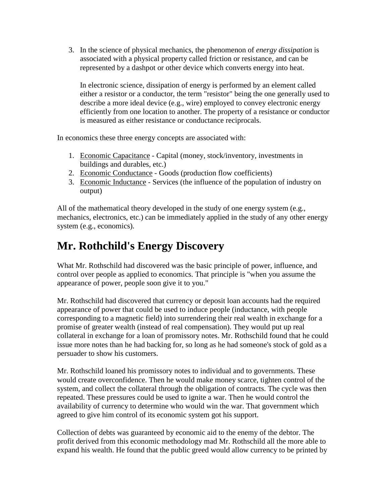3. In the science of physical mechanics, the phenomenon of *energy dissipation* is associated with a physical property called friction or resistance, and can be represented by a dashpot or other device which converts energy into heat.

In electronic science, dissipation of energy is performed by an element called either a resistor or a conductor, the term "resistor" being the one generally used to describe a more ideal device (e.g., wire) employed to convey electronic energy efficiently from one location to another. The property of a resistance or conductor is measured as either resistance or conductance reciprocals.

In economics these three energy concepts are associated with:

- 1. Economic Capacitance Capital (money, stock/inventory, investments in buildings and durables, etc.)
- 2. Economic Conductance Goods (production flow coefficients)
- 3. Economic Inductance Services (the influence of the population of industry on output)

All of the mathematical theory developed in the study of one energy system (e.g., mechanics, electronics, etc.) can be immediately applied in the study of any other energy system (e.g., economics).

## **Mr. Rothchild's Energy Discovery**

What Mr. Rothschild had discovered was the basic principle of power, influence, and control over people as applied to economics. That principle is "when you assume the appearance of power, people soon give it to you."

Mr. Rothschild had discovered that currency or deposit loan accounts had the required appearance of power that could be used to induce people (inductance, with people corresponding to a magnetic field) into surrendering their real wealth in exchange for a promise of greater wealth (instead of real compensation). They would put up real collateral in exchange for a loan of promissory notes. Mr. Rothschild found that he could issue more notes than he had backing for, so long as he had someone's stock of gold as a persuader to show his customers.

Mr. Rothschild loaned his promissory notes to individual and to governments. These would create overconfidence. Then he would make money scarce, tighten control of the system, and collect the collateral through the obligation of contracts. The cycle was then repeated. These pressures could be used to ignite a war. Then he would control the availability of currency to determine who would win the war. That government which agreed to give him control of its economic system got his support.

Collection of debts was guaranteed by economic aid to the enemy of the debtor. The profit derived from this economic methodology mad Mr. Rothschild all the more able to expand his wealth. He found that the public greed would allow currency to be printed by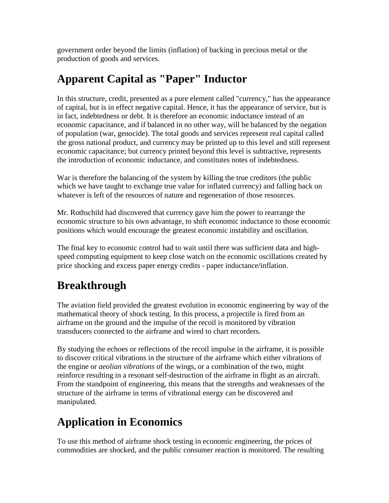government order beyond the limits (inflation) of backing in precious metal or the production of goods and services.

## **Apparent Capital as "Paper" Inductor**

In this structure, credit, presented as a pure element called "currency," has the appearance of capital, but is in effect negative capital. Hence, it has the appearance of service, but is in fact, indebtedness or debt. It is therefore an economic inductance instead of an economic capacitance, and if balanced in no other way, will be balanced by the negation of population (war, genocide). The total goods and services represent real capital called the gross national product, and currency may be printed up to this level and still represent economic capacitance; but currency printed beyond this level is subtractive, represents the introduction of economic inductance, and constitutes notes of indebtedness.

War is therefore the balancing of the system by killing the true creditors (the public which we have taught to exchange true value for inflated currency) and falling back on whatever is left of the resources of nature and regeneration of those resources.

Mr. Rothschild had discovered that currency gave him the power to rearrange the economic structure to his own advantage, to shift economic inductance to those economic positions which would encourage the greatest economic instability and oscillation.

The final key to economic control had to wait until there was sufficient data and highspeed computing equipment to keep close watch on the economic oscillations created by price shocking and excess paper energy credits - paper inductance/inflation.

## **Breakthrough**

The aviation field provided the greatest evolution in economic engineering by way of the mathematical theory of shock testing. In this process, a projectile is fired from an airframe on the ground and the impulse of the recoil is monitored by vibration transducers connected to the airframe and wired to chart recorders.

By studying the echoes or reflections of the recoil impulse in the airframe, it is possible to discover critical vibrations in the structure of the airframe which either vibrations of the engine or *aeolian vibrations* of the wings, or a combination of the two, might reinforce resulting in a resonant self-destruction of the airframe in flight as an aircraft. From the standpoint of engineering, this means that the strengths and weaknesses of the structure of the airframe in terms of vibrational energy can be discovered and manipulated.

## **Application in Economics**

To use this method of airframe shock testing in economic engineering, the prices of commodities are shocked, and the public consumer reaction is monitored. The resulting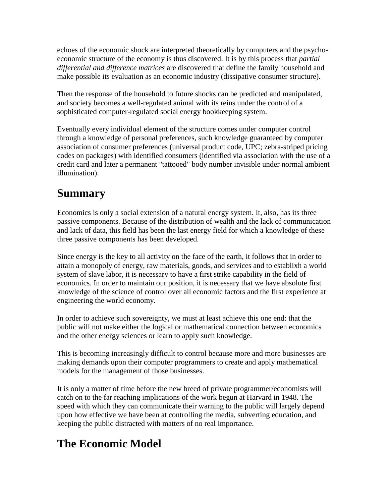echoes of the economic shock are interpreted theoretically by computers and the psychoeconomic structure of the economy is thus discovered. It is by this process that *partial differential and difference matrices* are discovered that define the family household and make possible its evaluation as an economic industry (dissipative consumer structure).

Then the response of the household to future shocks can be predicted and manipulated, and society becomes a well-regulated animal with its reins under the control of a sophisticated computer-regulated social energy bookkeeping system.

Eventually every individual element of the structure comes under computer control through a knowledge of personal preferences, such knowledge guaranteed by computer association of consumer preferences (universal product code, UPC; zebra-striped pricing codes on packages) with identified consumers (identified via association with the use of a credit card and later a permanent "tattooed" body number invisible under normal ambient illumination).

## **Summary**

Economics is only a social extension of a natural energy system. It, also, has its three passive components. Because of the distribution of wealth and the lack of communication and lack of data, this field has been the last energy field for which a knowledge of these three passive components has been developed.

Since energy is the key to all activity on the face of the earth, it follows that in order to attain a monopoly of energy, raw materials, goods, and services and to establixh a world system of slave labor, it is necessary to have a first strike capability in the field of economics. In order to maintain our position, it is necessary that we have absolute first knowledge of the science of control over all economic factors and the first experience at engineering the world economy.

In order to achieve such sovereignty, we must at least achieve this one end: that the public will not make either the logical or mathematical connection between economics and the other energy sciences or learn to apply such knowledge.

This is becoming increasingly difficult to control because more and more businesses are making demands upon their computer programmers to create and apply mathematical models for the management of those businesses.

It is only a matter of time before the new breed of private programmer/economists will catch on to the far reaching implications of the work begun at Harvard in 1948. The speed with which they can communicate their warning to the public will largely depend upon how effective we have been at controlling the media, subverting education, and keeping the public distracted with matters of no real importance.

## **The Economic Model**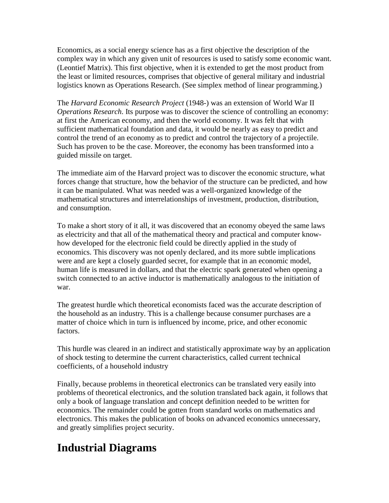Economics, as a social energy science has as a first objective the description of the complex way in which any given unit of resources is used to satisfy some economic want. (Leontief Matrix). This first objective, when it is extended to get the most product from the least or limited resources, comprises that objective of general military and industrial logistics known as Operations Research. (See simplex method of linear programming.)

The *Harvard Economic Research Project* (1948-) was an extension of World War II *Operations Research*. Its purpose was to discover the science of controlling an economy: at first the American economy, and then the world economy. It was felt that with sufficient mathematical foundation and data, it would be nearly as easy to predict and control the trend of an economy as to predict and control the trajectory of a projectile. Such has proven to be the case. Moreover, the economy has been transformed into a guided missile on target.

The immediate aim of the Harvard project was to discover the economic structure, what forces change that structure, how the behavior of the structure can be predicted, and how it can be manipulated. What was needed was a well-organized knowledge of the mathematical structures and interrelationships of investment, production, distribution, and consumption.

To make a short story of it all, it was discovered that an economy obeyed the same laws as electricity and that all of the mathematical theory and practical and computer knowhow developed for the electronic field could be directly applied in the study of economics. This discovery was not openly declared, and its more subtle implications were and are kept a closely guarded secret, for example that in an economic model, human life is measured in dollars, and that the electric spark generated when opening a switch connected to an active inductor is mathematically analogous to the initiation of war.

The greatest hurdle which theoretical economists faced was the accurate description of the household as an industry. This is a challenge because consumer purchases are a matter of choice which in turn is influenced by income, price, and other economic factors.

This hurdle was cleared in an indirect and statistically approximate way by an application of shock testing to determine the current characteristics, called current technical coefficients, of a household industry

Finally, because problems in theoretical electronics can be translated very easily into problems of theoretical electronics, and the solution translated back again, it follows that only a book of language translation and concept definition needed to be written for economics. The remainder could be gotten from standard works on mathematics and electronics. This makes the publication of books on advanced economics unnecessary, and greatly simplifies project security.

## **Industrial Diagrams**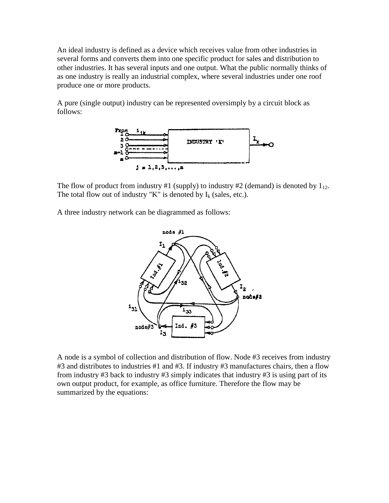An ideal industry is defined as a device which receives value from other industries in several forms and converts them into one specific product for sales and distribution to other industries. It has several inputs and one output. What the public normally thinks of as one industry is really an industrial complex, where several industries under one roof produce one or more products.

A pure (single output) industry can be represented oversimply by a circuit block as follows:



The flow of product from industry #1 (supply) to industry #2 (demand) is denoted by  $1_{12}$ . The total flow out of industry "K" is denoted by  $I_k$  (sales, etc.).

A three industry network can be diagrammed as follows:



A node is a symbol of collection and distribution of flow. Node #3 receives from industry #3 and distributes to industries #1 and #3. If industry #3 manufactures chairs, then a flow from industry #3 back to industry #3 simply indicates that industry #3 is using part of its own output product, for example, as office furniture. Therefore the flow may be summarized by the equations: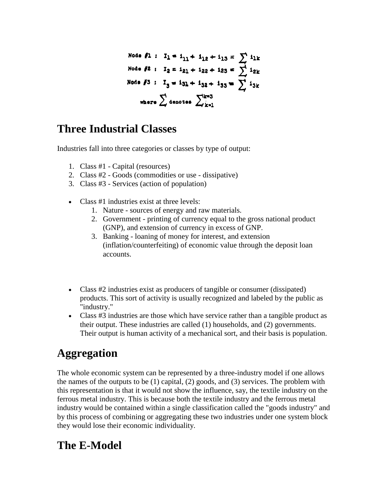Node  $\beta_1$ :  $I_1 = 1_{11} + 1_{12} + 1_{13} = \sum 1_{1k}$ Node #2 :  $I_2 = 1_{21} + 1_{22} + 1_{23} = \sum_{2k} 1_{2k}$ <br>Node #3 :  $I_3 = 1_{31} + 1_{32} + 1_{33} = \sum_{k} 1_{3k}$ where  $\sum$  denotes  $\sum_{k=1}^{k=3}$ 

## **Three Industrial Classes**

Industries fall into three categories or classes by type of output:

- 1. Class #1 Capital (resources)
- 2. Class #2 Goods (commodities or use dissipative)
- 3. Class #3 Services (action of population)
- Class #1 industries exist at three levels:
	- 1. Nature sources of energy and raw materials.
	- 2. Government printing of currency equal to the gross national product (GNP), and extension of currency in excess of GNP.
	- 3. Banking loaning of money for interest, and extension (inflation/counterfeiting) of economic value through the deposit loan accounts.
- Class #2 industries exist as producers of tangible or consumer (dissipated) products. This sort of activity is usually recognized and labeled by the public as "industry."
- Class #3 industries are those which have service rather than a tangible product as their output. These industries are called (1) households, and (2) governments. Their output is human activity of a mechanical sort, and their basis is population.

## **Aggregation**

The whole economic system can be represented by a three-industry model if one allows the names of the outputs to be (1) capital, (2) goods, and (3) services. The problem with this representation is that it would not show the influence, say, the textile industry on the ferrous metal industry. This is because both the textile industry and the ferrous metal industry would be contained within a single classification called the "goods industry" and by this process of combining or aggregating these two industries under one system block they would lose their economic individuality.

## **The E-Model**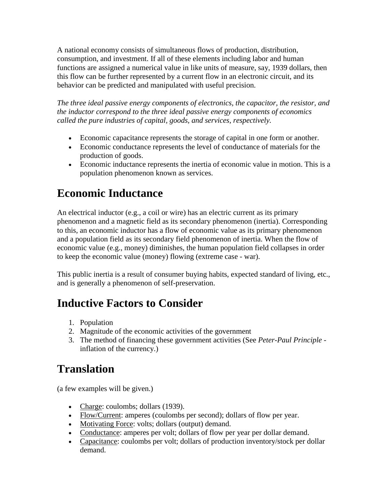A national economy consists of simultaneous flows of production, distribution, consumption, and investment. If all of these elements including labor and human functions are assigned a numerical value in like units of measure, say, 1939 dollars, then this flow can be further represented by a current flow in an electronic circuit, and its behavior can be predicted and manipulated with useful precision.

*The three ideal passive energy components of electronics, the capacitor, the resistor, and the inductor correspond to the three ideal passive energy components of economics called the pure industries of capital, goods, and services, respectively.*

- Economic capacitance represents the storage of capital in one form or another.
- Economic conductance represents the level of conductance of materials for the production of goods.
- Economic inductance represents the inertia of economic value in motion. This is a population phenomenon known as services.

## **Economic Inductance**

An electrical inductor (e.g., a coil or wire) has an electric current as its primary phenomenon and a magnetic field as its secondary phenomenon (inertia). Corresponding to this, an economic inductor has a flow of economic value as its primary phenomenon and a population field as its secondary field phenomenon of inertia. When the flow of economic value (e.g., money) diminishes, the human population field collapses in order to keep the economic value (money) flowing (extreme case - war).

This public inertia is a result of consumer buying habits, expected standard of living, etc., and is generally a phenomenon of self-preservation.

## **Inductive Factors to Consider**

- 1. Population
- 2. Magnitude of the economic activities of the government
- 3. The method of financing these government activities (See *Peter-Paul Principle* inflation of the currency.)

## **Translation**

(a few examples will be given.)

- Charge: coulombs; dollars (1939).
- Flow/Current: amperes (coulombs per second); dollars of flow per year.
- Motivating Force: volts; dollars (output) demand.
- Conductance: amperes per volt; dollars of flow per year per dollar demand.
- Capacitance: coulombs per volt; dollars of production inventory/stock per dollar demand.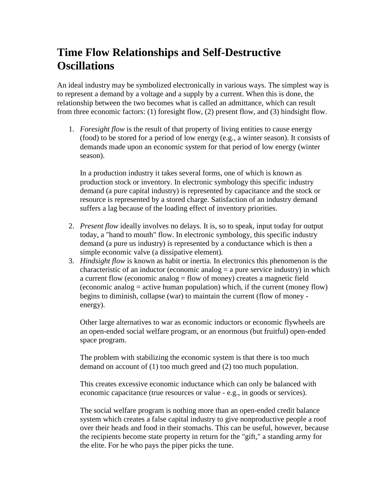## **Time Flow Relationships and Self-Destructive Oscillations**

An ideal industry may be symbolized electronically in various ways. The simplest way is to represent a demand by a voltage and a supply by a current. When this is done, the relationship between the two becomes what is called an admittance, which can result from three economic factors: (1) foresight flow, (2) present flow, and (3) hindsight flow.

1. *Foresight flow* is the result of that property of living entities to cause energy (food) to be stored for a period of low energy (e.g., a winter season). It consists of demands made upon an economic system for that period of low energy (winter season).

In a production industry it takes several forms, one of which is known as production stock or inventory. In electronic symbology this specific industry demand (a pure capital industry) is represented by capacitance and the stock or resource is represented by a stored charge. Satisfaction of an industry demand suffers a lag because of the loading effect of inventory priorities.

- 2. *Present flow* ideally involves no delays. It is, so to speak, input today for output today, a "hand to mouth" flow. In electronic symbology, this specific industry demand (a pure us industry) is represented by a conductance which is then a simple economic valve (a dissipative element).
- 3. *Hindsight flow* is known as habit or inertia. In electronics this phenomenon is the characteristic of an inductor (economic analog  $=$  a pure service industry) in which a current flow (economic analog = flow of money) creates a magnetic field (economic analog  $=$  active human population) which, if the current (money flow) begins to diminish, collapse (war) to maintain the current (flow of money energy).

Other large alternatives to war as economic inductors or economic flywheels are an open-ended social welfare program, or an enormous (but fruitful) open-ended space program.

The problem with stabilizing the economic system is that there is too much demand on account of (1) too much greed and (2) too much population.

This creates excessive economic inductance which can only be balanced with economic capacitance (true resources or value - e.g., in goods or services).

The social welfare program is nothing more than an open-ended credit balance system which creates a false capital industry to give nonproductive people a roof over their heads and food in their stomachs. This can be useful, however, because the recipients become state property in return for the "gift," a standing army for the elite. For he who pays the piper picks the tune.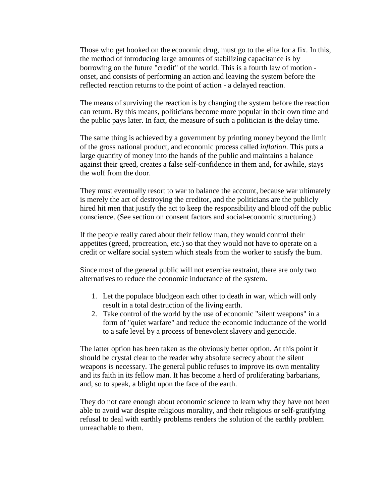Those who get hooked on the economic drug, must go to the elite for a fix. In this, the method of introducing large amounts of stabilizing capacitance is by borrowing on the future "credit" of the world. This is a fourth law of motion onset, and consists of performing an action and leaving the system before the reflected reaction returns to the point of action - a delayed reaction.

The means of surviving the reaction is by changing the system before the reaction can return. By this means, politicians become more popular in their own time and the public pays later. In fact, the measure of such a politician is the delay time.

The same thing is achieved by a government by printing money beyond the limit of the gross national product, and economic process called *inflation*. This puts a large quantity of money into the hands of the public and maintains a balance against their greed, creates a false self-confidence in them and, for awhile, stays the wolf from the door.

They must eventually resort to war to balance the account, because war ultimately is merely the act of destroying the creditor, and the politicians are the publicly hired hit men that justify the act to keep the responsibility and blood off the public conscience. (See section on consent factors and social-economic structuring.)

If the people really cared about their fellow man, they would control their appetites (greed, procreation, etc.) so that they would not have to operate on a credit or welfare social system which steals from the worker to satisfy the bum.

Since most of the general public will not exercise restraint, there are only two alternatives to reduce the economic inductance of the system.

- 1. Let the populace bludgeon each other to death in war, which will only result in a total destruction of the living earth.
- 2. Take control of the world by the use of economic "silent weapons" in a form of "quiet warfare" and reduce the economic inductance of the world to a safe level by a process of benevolent slavery and genocide.

The latter option has been taken as the obviously better option. At this point it should be crystal clear to the reader why absolute secrecy about the silent weapons is necessary. The general public refuses to improve its own mentality and its faith in its fellow man. It has become a herd of proliferating barbarians, and, so to speak, a blight upon the face of the earth.

They do not care enough about economic science to learn why they have not been able to avoid war despite religious morality, and their religious or self-gratifying refusal to deal with earthly problems renders the solution of the earthly problem unreachable to them.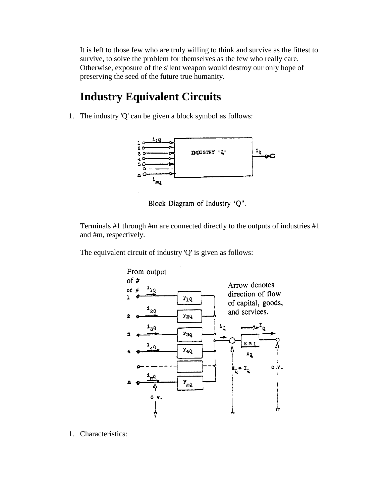It is left to those few who are truly willing to think and survive as the fittest to survive, to solve the problem for themselves as the few who really care. Otherwise, exposure of the silent weapon would destroy our only hope of preserving the seed of the future true humanity.

### **Industry Equivalent Circuits**

1. The industry 'Q' can be given a block symbol as follows:



Block Diagram of Industry 'Q".

Terminals #1 through #m are connected directly to the outputs of industries #1 and #m, respectively.

The equivalent circuit of industry 'Q' is given as follows:



1. Characteristics: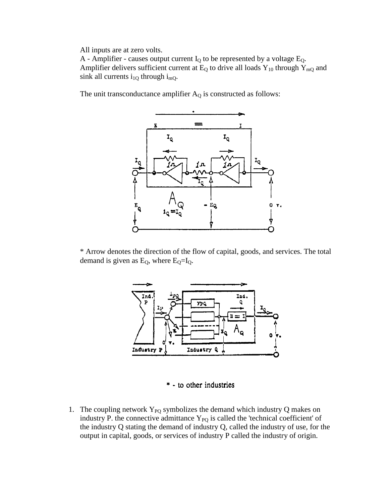All inputs are at zero volts.

A - Amplifier - causes output current  $I_Q$  to be represented by a voltage  $E_Q$ . Amplifier delivers sufficient current at  $E_Q$  to drive all loads  $Y_{10}$  through  $Y_{mq}$  and sink all currents  $i_{1Q}$  through  $i_{mQ}$ .

The unit transconductance amplifier  $A<sub>Q</sub>$  is constructed as follows:



\* Arrow denotes the direction of the flow of capital, goods, and services. The total demand is given as  $E_Q$ , where  $E_Q = I_Q$ .



#### \* - to other industries

1. The coupling network  $Y_{PQ}$  symbolizes the demand which industry Q makes on industry P. the connective admittance  $Y_{PQ}$  is called the 'technical coefficient' of the industry Q stating the demand of industry Q, called the industry of use, for the output in capital, goods, or services of industry P called the industry of origin.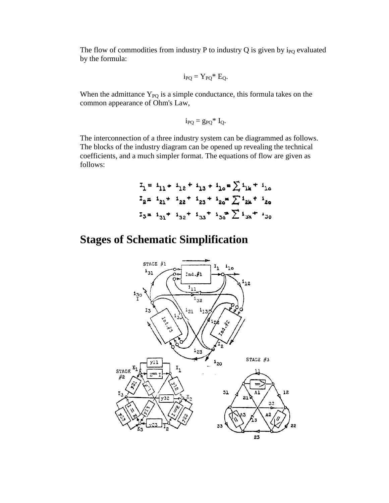The flow of commodities from industry P to industry Q is given by  $i_{PQ}$  evaluated by the formula:

$$
i_{PQ} = Y_{PQ}^* E_Q.
$$

When the admittance  $Y_{PQ}$  is a simple conductance, this formula takes on the common appearance of Ohm's Law,

$$
i_{PQ} = g_{PQ}^* I_Q.
$$

The interconnection of a three industry system can be diagrammed as follows. The blocks of the industry diagram can be opened up revealing the technical coefficients, and a much simpler format. The equations of flow are given as follows:

$$
I_1 = 1_{11} + 1_{12} + 1_{13} + 1_{10} = \sum 1_{1k} + 1_{10}
$$
  
\n
$$
I_2 = 1_{21} + 1_{22} + 1_{23} + 1_{20} = \sum 1_{2k} + 1_{20}
$$
  
\n
$$
I_3 = 1_{31} + 1_{32} + 1_{33} + 1_{30} = \sum 1_{3k} + 1_{30}
$$

### **Stages of Schematic Simplification**

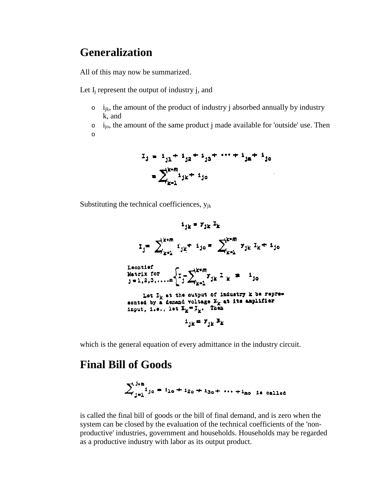### **Generalization**

All of this may now be summarized.

Let  $I_i$  represent the output of industry j, and

- $\circ$  i<sub>jk</sub>, the amount of the product of industry j absorbed annually by industry k, and
- $\circ$  i<sub>jo</sub>, the amount of the same product j made available for 'outside' use. Then o



Substituting the technical coefficiences,  $y_{jk}$ 

$$
i_{jk} = y_{jk} I_k
$$
  
\n
$$
I_j = \sum_{k=1}^{k+m} i_{jk} + i_{j0} = \sum_{k=1}^{k+m} y_{jk} I_k + i_{j0}
$$
  
\n
$$
\begin{aligned}\n\text{Leontier} \\
\text{Matrix for} \\
j = 1, 2, 3, \dots, m\n\end{aligned}\n\left.\begin{aligned}\nI_j = \sum_{k=1}^{k+m} y_{jk} I_k = 1 \\
I_j = \sum_{k=1}^{k+m} y_{jk} I_k = 1 \\
I_k = 1\n\end{aligned}\right\}
$$
\nLet  $I_k$  at the output of inductor  $\text{Inducty } k$  be represented by a demand voltage  $\mathbb{E}_k$  at the amplitude  $\mathbf{I}_{jk} = \mathbf{I}_{jk}$ .

which is the general equation of every admittance in the industry circuit.

#### **Final Bill of Goods**

$$
\sum_{j=1}^{j+m} i_{j0} = i_{10} + i_{20} + i_{30} + \cdots + i_{m0} \text{ is called}
$$

is called the final bill of goods or the bill of final demand, and is zero when the system can be closed by the evaluation of the technical coefficients of the 'nonproductive' industries, government and households. Households may be regarded as a productive industry with labor as its output product.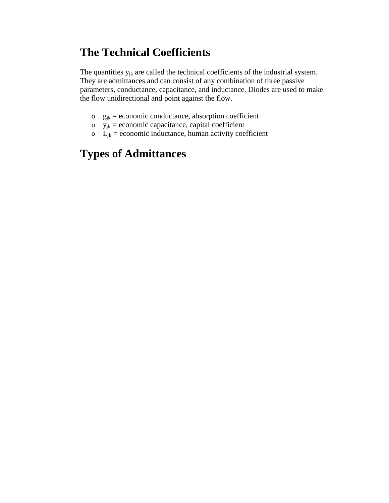## **The Technical Coefficients**

The quantities  $y_{jk}$  are called the technical coefficients of the industrial system. They are admittances and can consist of any combination of three passive parameters, conductance, capacitance, and inductance. Diodes are used to make the flow unidirectional and point against the flow.

- $g_{ik}$  = economic conductance, absorption coefficient
- $y_{jk}$  = economic capacitance, capital coefficient
- $\overrightarrow{L}_{jk}$  = economic inductance, human activity coefficient

## **Types of Admittances**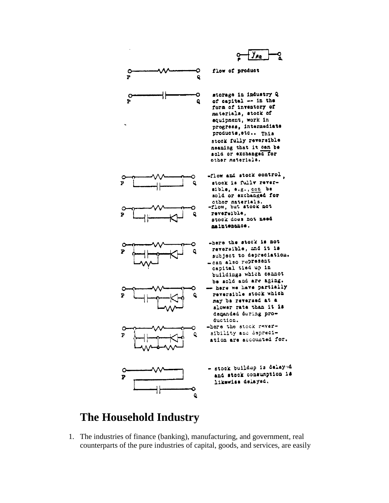

### **The Household Industry**

1. The industries of finance (banking), manufacturing, and government, real counterparts of the pure industries of capital, goods, and services, are easily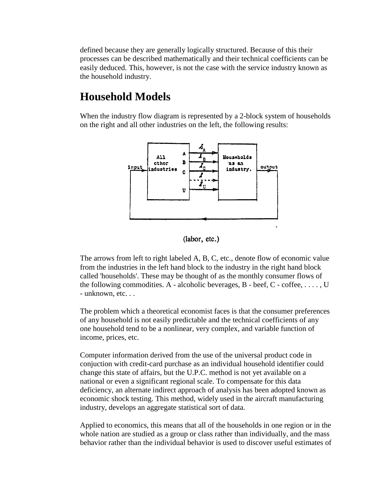defined because they are generally logically structured. Because of this their processes can be described mathematically and their technical coefficients can be easily deduced. This, however, is not the case with the service industry known as the household industry.

### **Household Models**

When the industry flow diagram is represented by a 2-block system of households on the right and all other industries on the left, the following results:



(labor, etc.)

The arrows from left to right labeled A, B, C, etc., denote flow of economic value from the industries in the left hand block to the industry in the right hand block called 'households'. These may be thought of as the monthly consumer flows of the following commodities. A - alcoholic beverages, B - beef,  $C$  - coffee, ..., U - unknown, etc. . .

The problem which a theoretical economist faces is that the consumer preferences of any household is not easily predictable and the technical coefficients of any one household tend to be a nonlinear, very complex, and variable function of income, prices, etc.

Computer information derived from the use of the universal product code in conjuction with credit-card purchase as an individual household identifier could change this state of affairs, but the U.P.C. method is not yet available on a national or even a significant regional scale. To compensate for this data deficiency, an alternate indirect approach of analysis has been adopted known as economic shock testing. This method, widely used in the aircraft manufacturing industry, develops an aggregate statistical sort of data.

Applied to economics, this means that all of the households in one region or in the whole nation are studied as a group or class rather than individually, and the mass behavior rather than the individual behavior is used to discover useful estimates of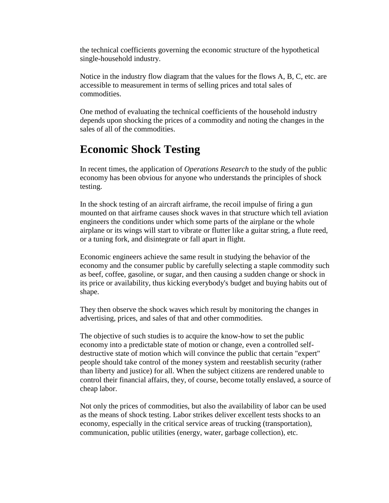the technical coefficients governing the economic structure of the hypothetical single-household industry.

Notice in the industry flow diagram that the values for the flows A, B, C, etc. are accessible to measurement in terms of selling prices and total sales of commodities.

One method of evaluating the technical coefficients of the household industry depends upon shocking the prices of a commodity and noting the changes in the sales of all of the commodities.

### **Economic Shock Testing**

In recent times, the application of *Operations Research* to the study of the public economy has been obvious for anyone who understands the principles of shock testing.

In the shock testing of an aircraft airframe, the recoil impulse of firing a gun mounted on that airframe causes shock waves in that structure which tell aviation engineers the conditions under which some parts of the airplane or the whole airplane or its wings will start to vibrate or flutter like a guitar string, a flute reed, or a tuning fork, and disintegrate or fall apart in flight.

Economic engineers achieve the same result in studying the behavior of the economy and the consumer public by carefully selecting a staple commodity such as beef, coffee, gasoline, or sugar, and then causing a sudden change or shock in its price or availability, thus kicking everybody's budget and buying habits out of shape.

They then observe the shock waves which result by monitoring the changes in advertising, prices, and sales of that and other commodities.

The objective of such studies is to acquire the know-how to set the public economy into a predictable state of motion or change, even a controlled selfdestructive state of motion which will convince the public that certain "expert" people should take control of the money system and reestablish security (rather than liberty and justice) for all. When the subject citizens are rendered unable to control their financial affairs, they, of course, become totally enslaved, a source of cheap labor.

Not only the prices of commodities, but also the availability of labor can be used as the means of shock testing. Labor strikes deliver excellent tests shocks to an economy, especially in the critical service areas of trucking (transportation), communication, public utilities (energy, water, garbage collection), etc.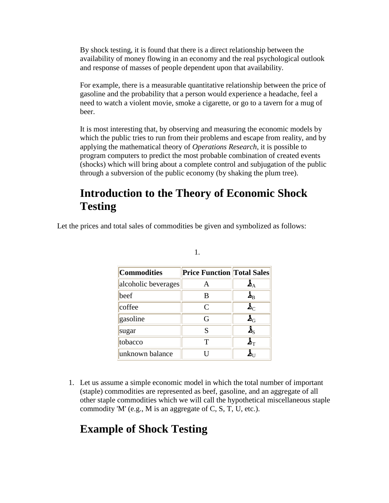By shock testing, it is found that there is a direct relationship between the availability of money flowing in an economy and the real psychological outlook and response of masses of people dependent upon that availability.

For example, there is a measurable quantitative relationship between the price of gasoline and the probability that a person would experience a headache, feel a need to watch a violent movie, smoke a cigarette, or go to a tavern for a mug of beer.

It is most interesting that, by observing and measuring the economic models by which the public tries to run from their problems and escape from reality, and by applying the mathematical theory of *Operations Research*, it is possible to program computers to predict the most probable combination of created events (shocks) which will bring about a complete control and subjugation of the public through a subversion of the public economy (by shaking the plum tree).

## **Introduction to the Theory of Economic Shock Testing**

Let the prices and total sales of commodities be given and symbolized as follows:

| <b>Commodities</b>  | <b>Price Function Total Sales</b> |                               |
|---------------------|-----------------------------------|-------------------------------|
| alcoholic beverages |                                   | ΔA                            |
| beef                | B                                 | $\mathbf{h}_\mathrm{B}$       |
| coffee              | $\mathcal{C}_{\mathcal{C}}$       | $\bm{l}_C$                    |
| gasoline            | G                                 | $\bm{l}_\mathrm{G}$           |
| sugar               | S                                 | $\mathbf{J}_{\mathrm{S}}$     |
| tobacco             |                                   | $I_{\scriptscriptstyle\rm T}$ |
| unknown balance     |                                   | ðп                            |

1.

1. Let us assume a simple economic model in which the total number of important (staple) commodities are represented as beef, gasoline, and an aggregate of all other staple commodities which we will call the hypothetical miscellaneous staple commodity 'M' (e.g., M is an aggregate of C, S, T, U, etc.).

## **Example of Shock Testing**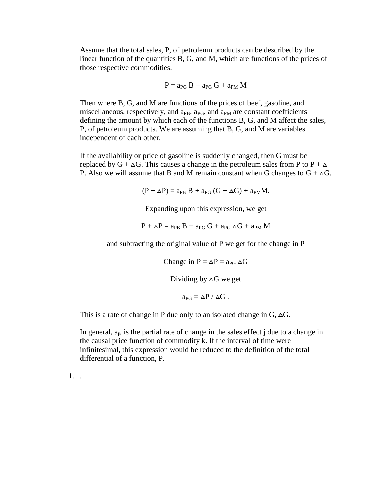Assume that the total sales, P, of petroleum products can be described by the linear function of the quantities B, G, and M, which are functions of the prices of those respective commodities.

$$
P=a_{PG}\ B+a_{PG}\ G+a_{PM}\ M
$$

Then where B, G, and M are functions of the prices of beef, gasoline, and miscellaneous, respectively, and  $a_{PB}$ ,  $a_{PG}$ , and  $a_{PM}$  are constant coefficients defining the amount by which each of the functions B, G, and M affect the sales, P, of petroleum products. We are assuming that B, G, and M are variables independent of each other.

If the availability or price of gasoline is suddenly changed, then G must be replaced by  $G + \Delta G$ . This causes a change in the petroleum sales from P to P +  $\Delta$ P. Also we will assume that B and M remain constant when G changes to  $G + \Delta G$ .

 $(P + \Delta P) = a_{PR} B + a_{PG} (G + \Delta G) + a_{PM} M.$ 

Expanding upon this expression, we get

 $P + \Delta P = a_{PR} B + a_{PG} G + a_{PG} \Delta G + a_{PM} M$ 

and subtracting the original value of P we get for the change in P

Change in  $P = \Delta P = a_{PG} \Delta G$ Dividing by  $\triangle G$  we get  $a_{\text{PG}} = \Delta P / \Delta G$ .

This is a rate of change in P due only to an isolated change in G,  $\Delta G$ .

In general,  $a_{ik}$  is the partial rate of change in the sales effect j due to a change in the causal price function of commodity k. If the interval of time were infinitesimal, this expression would be reduced to the definition of the total differential of a function, P.

1. .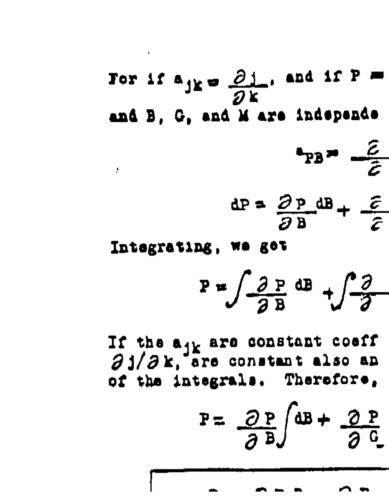For if  $a_{jk} = \frac{\partial j}{\partial k}$ , and if  $P =$ and B. G. and M are independe  $P_{BB} = \frac{Z}{Z}$ ÷,  $dP = \frac{\partial P}{\partial B}dB + \frac{E}{\mathcal{L}}$ Integrating, we get

 $P = \int \frac{\partial P}{\partial R} dB + \int \frac{\partial}{\partial T}$ 

If the  $a_{jk}$  are constant coeff  $\partial j/\partial k$ , are constant also an of the integrals. Therefore,

$$
P = \frac{\partial P}{\partial B} \int dB + \frac{\partial P}{\partial G}
$$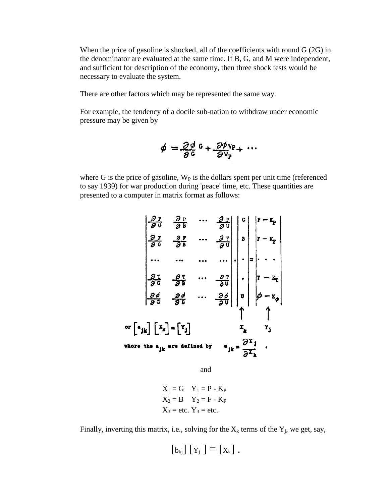When the price of gasoline is shocked, all of the coefficients with round G (2G) in the denominator are evaluated at the same time. If B, G, and M were independent, and sufficient for description of the economy, then three shock tests would be necessary to evaluate the system.

There are other factors which may be represented the same way.

For example, the tendency of a docile sub-nation to withdraw under economic pressure may be given by

$$
\phi = \frac{\partial \phi}{\partial G} G + \frac{\partial \phi}{\partial W_P} + \cdots
$$

where G is the price of gasoline,  $W_P$  is the dollars spent per unit time (referenced to say 1939) for war production during 'peace' time, etc. These quantities are presented to a computer in matrix format as follows:

and

$$
X_1 = G \t Y_1 = P - K_P
$$
  
\n
$$
X_2 = B \t Y_2 = F - K_F
$$
  
\n
$$
X_3 = etc. Y_3 = etc.
$$

Finally, inverting this matrix, i.e., solving for the  $X_k$  terms of the  $Y_j$ , we get, say,

$$
\left[ b_{kj}\right] \left[ Y_{j}\ \right] =\left[ X_{k}\right] .
$$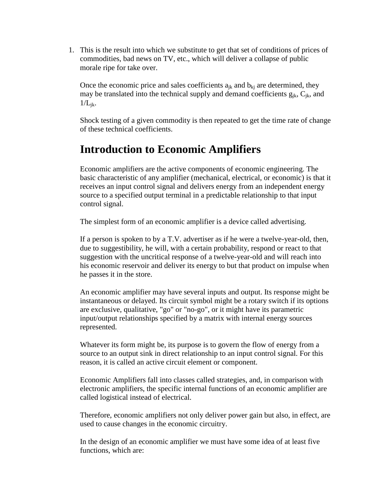1. This is the result into which we substitute to get that set of conditions of prices of commodities, bad news on TV, etc., which will deliver a collapse of public morale ripe for take over.

Once the economic price and sales coefficients  $a_{ik}$  and  $b_{ki}$  are determined, they may be translated into the technical supply and demand coefficients  $g_{ik}$ ,  $C_{ik}$ , and  $1/L_{ik}$ .

Shock testing of a given commodity is then repeated to get the time rate of change of these technical coefficients.

### **Introduction to Economic Amplifiers**

Economic amplifiers are the active components of economic engineering. The basic characteristic of any amplifier (mechanical, electrical, or economic) is that it receives an input control signal and delivers energy from an independent energy source to a specified output terminal in a predictable relationship to that input control signal.

The simplest form of an economic amplifier is a device called advertising.

If a person is spoken to by a T.V. advertiser as if he were a twelve-year-old, then, due to suggestibility, he will, with a certain probability, respond or react to that suggestion with the uncritical response of a twelve-year-old and will reach into his economic reservoir and deliver its energy to but that product on impulse when he passes it in the store.

An economic amplifier may have several inputs and output. Its response might be instantaneous or delayed. Its circuit symbol might be a rotary switch if its options are exclusive, qualitative, "go" or "no-go", or it might have its parametric input/output relationships specified by a matrix with internal energy sources represented.

Whatever its form might be, its purpose is to govern the flow of energy from a source to an output sink in direct relationship to an input control signal. For this reason, it is called an active circuit element or component.

Economic Amplifiers fall into classes called strategies, and, in comparison with electronic amplifiers, the specific internal functions of an economic amplifier are called logistical instead of electrical.

Therefore, economic amplifiers not only deliver power gain but also, in effect, are used to cause changes in the economic circuitry.

In the design of an economic amplifier we must have some idea of at least five functions, which are: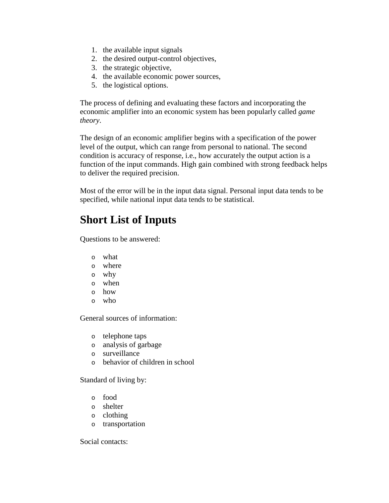- 1. the available input signals
- 2. the desired output-control objectives,
- 3. the strategic objective,
- 4. the available economic power sources,
- 5. the logistical options.

The process of defining and evaluating these factors and incorporating the economic amplifier into an economic system has been popularly called *game theory*.

The design of an economic amplifier begins with a specification of the power level of the output, which can range from personal to national. The second condition is accuracy of response, i.e., how accurately the output action is a function of the input commands. High gain combined with strong feedback helps to deliver the required precision.

Most of the error will be in the input data signal. Personal input data tends to be specified, while national input data tends to be statistical.

## **Short List of Inputs**

Questions to be answered:

- o what
- o where
- o why
- o when
- o how
- o who

General sources of information:

- o telephone taps
- o analysis of garbage
- o surveillance
- o behavior of children in school

Standard of living by:

- o food
- o shelter
- o clothing
- o transportation

Social contacts: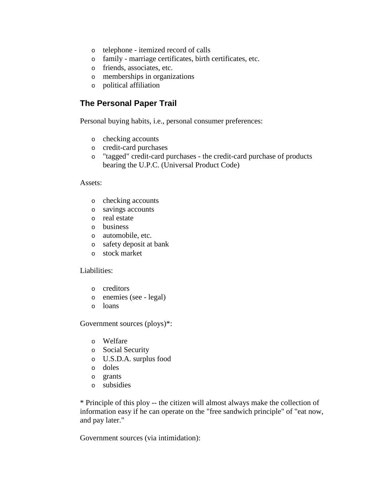- o telephone itemized record of calls
- o family marriage certificates, birth certificates, etc.
- o friends, associates, etc.
- o memberships in organizations
- o political affiliation

#### **The Personal Paper Trail**

Personal buying habits, i.e., personal consumer preferences:

- o checking accounts
- o credit-card purchases
- o "tagged" credit-card purchases the credit-card purchase of products bearing the U.P.C. (Universal Product Code)

#### Assets:

- o checking accounts
- o savings accounts
- o real estate
- o business
- o automobile, etc.
- o safety deposit at bank
- o stock market

#### Liabilities:

- o creditors
- o enemies (see legal)
- o loans

Government sources (ploys)\*:

- o Welfare
- o Social Security
- o U.S.D.A. surplus food
- o doles
- o grants
- o subsidies

\* Principle of this ploy -- the citizen will almost always make the collection of information easy if he can operate on the "free sandwich principle" of "eat now, and pay later."

Government sources (via intimidation):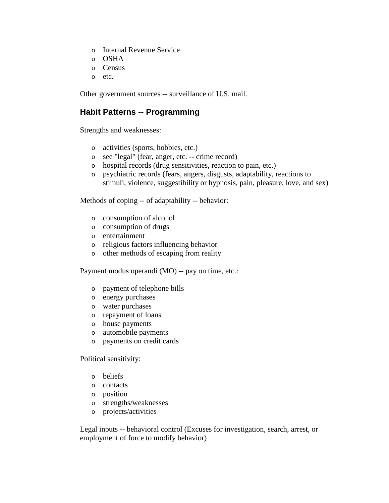- o Internal Revenue Service
- o OSHA
- o Census
- o etc.

Other government sources -- surveillance of U.S. mail.

#### **Habit Patterns -- Programming**

Strengths and weaknesses:

- o activities (sports, hobbies, etc.)
- o see "legal" (fear, anger, etc. -- crime record)
- o hospital records (drug sensitivities, reaction to pain, etc.)
- o psychiatric records (fears, angers, disgusts, adaptability, reactions to stimuli, violence, suggestibility or hypnosis, pain, pleasure, love, and sex)

Methods of coping -- of adaptability -- behavior:

- o consumption of alcohol
- o consumption of drugs
- o entertainment
- o religious factors influencing behavior
- o other methods of escaping from reality

Payment modus operandi (MO) -- pay on time, etc.:

- o payment of telephone bills
- o energy purchases
- o water purchases
- o repayment of loans
- o house payments
- o automobile payments
- o payments on credit cards

Political sensitivity:

- o beliefs
- o contacts
- o position
- o strengths/weaknesses
- o projects/activities

Legal inputs -- behavioral control (Excuses for investigation, search, arrest, or employment of force to modify behavior)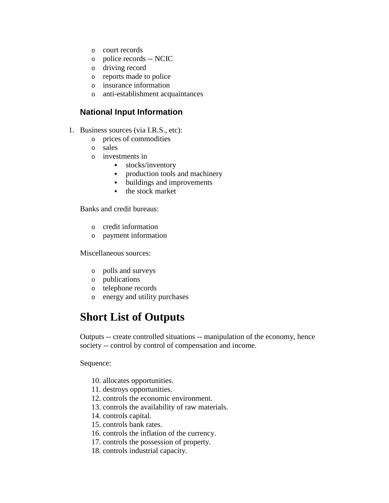- o court records
- o police records -- NCIC
- o driving record
- o reports made to police
- o insurance information
- o anti-establishment acquaintances

#### **National Input Information**

- 1. Business sources (via I.R.S., etc):
	- o prices of commodities
	- o sales
	- o investments in
		- **stocks/inventory**
		- production tools and machinery
		- buildings and improvements
		- $\blacksquare$  the stock market

Banks and credit bureaus:

- o credit information
- o payment information

Miscellaneous sources:

- o polls and surveys
- o publications
- o telephone records
- o energy and utility purchases

### **Short List of Outputs**

Outputs -- create controlled situations -- manipulation of the economy, hence society -- control by control of compensation and income.

Sequence:

- 10. allocates opportunities.
- 11. destroys opportunities.
- 12. controls the economic environment.
- 13. controls the availability of raw materials.
- 14. controls capital.
- 15. controls bank rates.
- 16. controls the inflation of the currency.
- 17. controls the possession of property.
- 18. controls industrial capacity.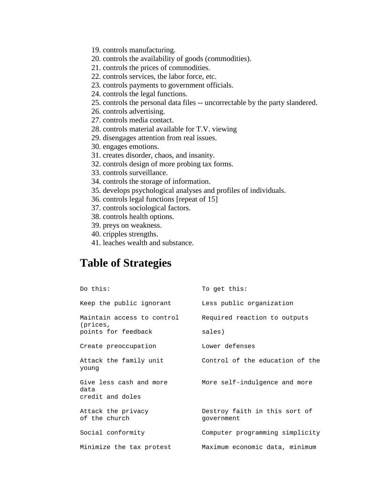- 19. controls manufacturing.
- 20. controls the availability of goods (commodities).
- 21. controls the prices of commodities.
- 22. controls services, the labor force, etc.
- 23. controls payments to government officials.
- 24. controls the legal functions.
- 25. controls the personal data files -- uncorrectable by the party slandered.
- 26. controls advertising.
- 27. controls media contact.
- 28. controls material available for T.V. viewing
- 29. disengages attention from real issues.
- 30. engages emotions.
- 31. creates disorder, chaos, and insanity.
- 32. controls design of more probing tax forms.
- 33. controls surveillance.
- 34. controls the storage of information.
- 35. develops psychological analyses and profiles of individuals.
- 36. controls legal functions [repeat of 15]
- 37. controls sociological factors.
- 38. controls health options.
- 39. preys on weakness.
- 40. cripples strengths.
- 41. leaches wealth and substance.

#### **Table of Strategies**

| Do this:                                            | To get this:                                |
|-----------------------------------------------------|---------------------------------------------|
| Keep the public ignorant                            | Less public organization                    |
| Maintain access to control<br>(prices,              | Required reaction to outputs                |
| points for feedback                                 | sales)                                      |
| Create preoccupation                                | Lower defenses                              |
| Attack the family unit<br>young                     | Control of the education of the             |
| Give less cash and more<br>data<br>credit and doles | More self-indulgence and more               |
| Attack the privacy<br>of the church                 | Destroy faith in this sort of<br>qovernment |
| Social conformity                                   | Computer programming simplicity             |
| Minimize the tax protest                            | Maximum economic data, minimum              |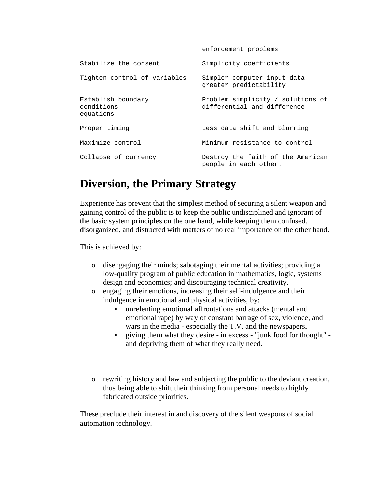|                                               | enforcement problems                                             |
|-----------------------------------------------|------------------------------------------------------------------|
| Stabilize the consent                         | Simplicity coefficients                                          |
| Tighten control of variables                  | Simpler computer input data --<br>greater predictability         |
| Establish boundary<br>conditions<br>equations | Problem simplicity / solutions of<br>differential and difference |
| Proper timing                                 | Less data shift and blurring                                     |
| Maximize control                              | Minimum resistance to control                                    |
| Collapse of currency                          | Destroy the faith of the American<br>people in each other.       |

### **Diversion, the Primary Strategy**

Experience has prevent that the simplest method of securing a silent weapon and gaining control of the public is to keep the public undisciplined and ignorant of the basic system principles on the one hand, while keeping them confused, disorganized, and distracted with matters of no real importance on the other hand.

This is achieved by:

- o disengaging their minds; sabotaging their mental activities; providing a low-quality program of public education in mathematics, logic, systems design and economics; and discouraging technical creativity.
- o engaging their emotions, increasing their self-indulgence and their indulgence in emotional and physical activities, by:
	- unrelenting emotional affrontations and attacks (mental and emotional rape) by way of constant barrage of sex, violence, and wars in the media - especially the T.V. and the newspapers.
	- giving them what they desire in excess "junk food for thought" and depriving them of what they really need.
- o rewriting history and law and subjecting the public to the deviant creation, thus being able to shift their thinking from personal needs to highly fabricated outside priorities.

These preclude their interest in and discovery of the silent weapons of social automation technology.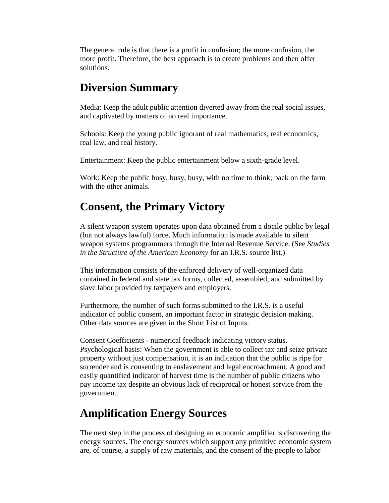The general rule is that there is a profit in confusion; the more confusion, the more profit. Therefore, the best approach is to create problems and then offer solutions.

## **Diversion Summary**

Media: Keep the adult public attention diverted away from the real social issues, and captivated by matters of no real importance.

Schools: Keep the young public ignorant of real mathematics, real economics, real law, and real history.

Entertainment: Keep the public entertainment below a sixth-grade level.

Work: Keep the public busy, busy, busy, with no time to think; back on the farm with the other animals.

## **Consent, the Primary Victory**

A silent weapon system operates upon data obtained from a docile public by legal (but not always lawful) force. Much information is made available to silent weapon systems programmers through the Internal Revenue Service. (See *Studies in the Structure of the American Economy* for an I.R.S. source list.)

This information consists of the enforced delivery of well-organized data contained in federal and state tax forms, collected, assembled, and submitted by slave labor provided by taxpayers and employers.

Furthermore, the number of such forms submitted to the I.R.S. is a useful indicator of public consent, an important factor in strategic decision making. Other data sources are given in the Short List of Inputs.

Consent Coefficients - numerical feedback indicating victory status. Psychological basis: When the government is able to collect tax and seize private property without just compensation, it is an indication that the public is ripe for surrender and is consenting to enslavement and legal encroachment. A good and easily quantified indicator of harvest time is the number of public citizens who pay income tax despite an obvious lack of reciprocal or honest service from the government.

## **Amplification Energy Sources**

The next step in the process of designing an economic amplifier is discovering the energy sources. The energy sources which support any primitive economic system are, of course, a supply of raw materials, and the consent of the people to labor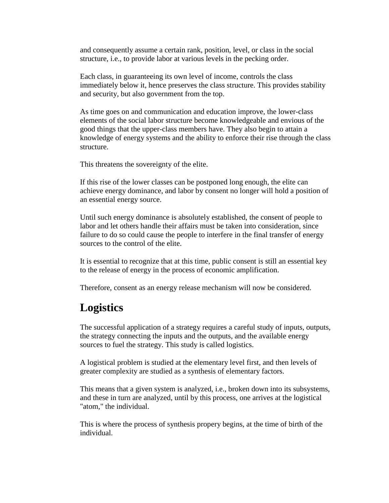and consequently assume a certain rank, position, level, or class in the social structure, i.e., to provide labor at various levels in the pecking order.

Each class, in guaranteeing its own level of income, controls the class immediately below it, hence preserves the class structure. This provides stability and security, but also government from the top.

As time goes on and communication and education improve, the lower-class elements of the social labor structure become knowledgeable and envious of the good things that the upper-class members have. They also begin to attain a knowledge of energy systems and the ability to enforce their rise through the class structure.

This threatens the sovereignty of the elite.

If this rise of the lower classes can be postponed long enough, the elite can achieve energy dominance, and labor by consent no longer will hold a position of an essential energy source.

Until such energy dominance is absolutely established, the consent of people to labor and let others handle their affairs must be taken into consideration, since failure to do so could cause the people to interfere in the final transfer of energy sources to the control of the elite.

It is essential to recognize that at this time, public consent is still an essential key to the release of energy in the process of economic amplification.

Therefore, consent as an energy release mechanism will now be considered.

### **Logistics**

The successful application of a strategy requires a careful study of inputs, outputs, the strategy connecting the inputs and the outputs, and the available energy sources to fuel the strategy. This study is called logistics.

A logistical problem is studied at the elementary level first, and then levels of greater complexity are studied as a synthesis of elementary factors.

This means that a given system is analyzed, i.e., broken down into its subsystems, and these in turn are analyzed, until by this process, one arrives at the logistical "atom," the individual.

This is where the process of synthesis propery begins, at the time of birth of the individual.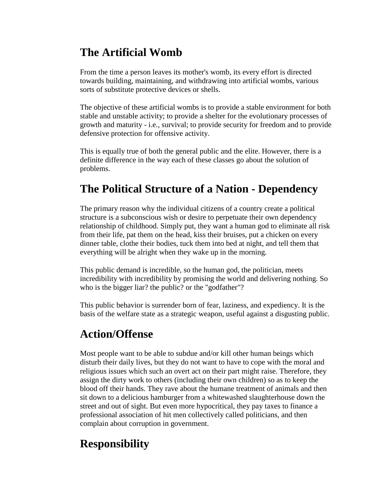## **The Artificial Womb**

From the time a person leaves its mother's womb, its every effort is directed towards building, maintaining, and withdrawing into artificial wombs, various sorts of substitute protective devices or shells.

The objective of these artificial wombs is to provide a stable environment for both stable and unstable activity; to provide a shelter for the evolutionary processes of growth and maturity - i.e., survival; to provide security for freedom and to provide defensive protection for offensive activity.

This is equally true of both the general public and the elite. However, there is a definite difference in the way each of these classes go about the solution of problems.

## **The Political Structure of a Nation - Dependency**

The primary reason why the individual citizens of a country create a political structure is a subconscious wish or desire to perpetuate their own dependency relationship of childhood. Simply put, they want a human god to eliminate all risk from their life, pat them on the head, kiss their bruises, put a chicken on every dinner table, clothe their bodies, tuck them into bed at night, and tell them that everything will be alright when they wake up in the morning.

This public demand is incredible, so the human god, the politician, meets incredibility with incredibility by promising the world and delivering nothing. So who is the bigger liar? the public? or the "godfather"?

This public behavior is surrender born of fear, laziness, and expediency. It is the basis of the welfare state as a strategic weapon, useful against a disgusting public.

## **Action/Offense**

Most people want to be able to subdue and/or kill other human beings which disturb their daily lives, but they do not want to have to cope with the moral and religious issues which such an overt act on their part might raise. Therefore, they assign the dirty work to others (including their own children) so as to keep the blood off their hands. They rave about the humane treatment of animals and then sit down to a delicious hamburger from a whitewashed slaughterhouse down the street and out of sight. But even more hypocritical, they pay taxes to finance a professional association of hit men collectively called politicians, and then complain about corruption in government.

## **Responsibility**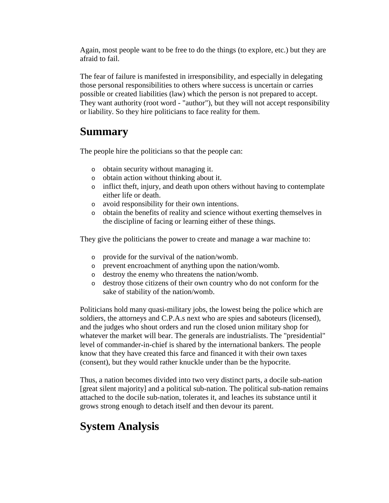Again, most people want to be free to do the things (to explore, etc.) but they are afraid to fail.

The fear of failure is manifested in irresponsibility, and especially in delegating those personal responsibilities to others where success is uncertain or carries possible or created liabilities (law) which the person is not prepared to accept. They want authority (root word - "author"), but they will not accept responsibility or liability. So they hire politicians to face reality for them.

## **Summary**

The people hire the politicians so that the people can:

- o obtain security without managing it.
- o obtain action without thinking about it.
- o inflict theft, injury, and death upon others without having to contemplate either life or death.
- o avoid responsibility for their own intentions.
- o obtain the benefits of reality and science without exerting themselves in the discipline of facing or learning either of these things.

They give the politicians the power to create and manage a war machine to:

- o provide for the survival of the nation/womb.
- o prevent encroachment of anything upon the nation/womb.
- o destroy the enemy who threatens the nation/womb.
- o destroy those citizens of their own country who do not conform for the sake of stability of the nation/womb.

Politicians hold many quasi-military jobs, the lowest being the police which are soldiers, the attorneys and C.P.A.s next who are spies and saboteurs (licensed), and the judges who shout orders and run the closed union military shop for whatever the market will bear. The generals are industrialists. The "presidential" level of commander-in-chief is shared by the international bankers. The people know that they have created this farce and financed it with their own taxes (consent), but they would rather knuckle under than be the hypocrite.

Thus, a nation becomes divided into two very distinct parts, a docile sub-nation [great silent majority] and a political sub-nation. The political sub-nation remains attached to the docile sub-nation, tolerates it, and leaches its substance until it grows strong enough to detach itself and then devour its parent.

## **System Analysis**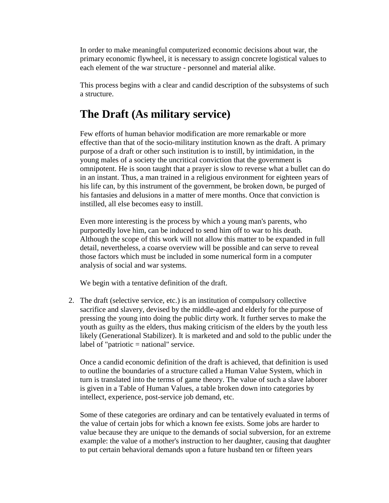In order to make meaningful computerized economic decisions about war, the primary economic flywheel, it is necessary to assign concrete logistical values to each element of the war structure - personnel and material alike.

This process begins with a clear and candid description of the subsystems of such a structure.

## **The Draft (As military service)**

Few efforts of human behavior modification are more remarkable or more effective than that of the socio-military institution known as the draft. A primary purpose of a draft or other such institution is to instill, by intimidation, in the young males of a society the uncritical conviction that the government is omnipotent. He is soon taught that a prayer is slow to reverse what a bullet can do in an instant. Thus, a man trained in a religious environment for eighteen years of his life can, by this instrument of the government, be broken down, be purged of his fantasies and delusions in a matter of mere months. Once that conviction is instilled, all else becomes easy to instill.

Even more interesting is the process by which a young man's parents, who purportedly love him, can be induced to send him off to war to his death. Although the scope of this work will not allow this matter to be expanded in full detail, nevertheless, a coarse overview will be possible and can serve to reveal those factors which must be included in some numerical form in a computer analysis of social and war systems.

We begin with a tentative definition of the draft.

2. The draft (selective service, etc.) is an institution of compulsory collective sacrifice and slavery, devised by the middle-aged and elderly for the purpose of pressing the young into doing the public dirty work. It further serves to make the youth as guilty as the elders, thus making criticism of the elders by the youth less likely (Generational Stabilizer). It is marketed and and sold to the public under the label of "patriotic  $=$  national" service.

Once a candid economic definition of the draft is achieved, that definition is used to outline the boundaries of a structure called a Human Value System, which in turn is translated into the terms of game theory. The value of such a slave laborer is given in a Table of Human Values, a table broken down into categories by intellect, experience, post-service job demand, etc.

Some of these categories are ordinary and can be tentatively evaluated in terms of the value of certain jobs for which a known fee exists. Some jobs are harder to value because they are unique to the demands of social subversion, for an extreme example: the value of a mother's instruction to her daughter, causing that daughter to put certain behavioral demands upon a future husband ten or fifteen years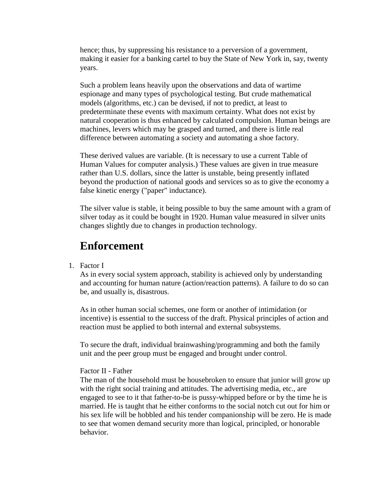hence; thus, by suppressing his resistance to a perversion of a government, making it easier for a banking cartel to buy the State of New York in, say, twenty years.

Such a problem leans heavily upon the observations and data of wartime espionage and many types of psychological testing. But crude mathematical models (algorithms, etc.) can be devised, if not to predict, at least to predeterminate these events with maximum certainty. What does not exist by natural cooperation is thus enhanced by calculated compulsion. Human beings are machines, levers which may be grasped and turned, and there is little real difference between automating a society and automating a shoe factory.

These derived values are variable. (It is necessary to use a current Table of Human Values for computer analysis.) These values are given in true measure rather than U.S. dollars, since the latter is unstable, being presently inflated beyond the production of national goods and services so as to give the economy a false kinetic energy ("paper" inductance).

The silver value is stable, it being possible to buy the same amount with a gram of silver today as it could be bought in 1920. Human value measured in silver units changes slightly due to changes in production technology.

### **Enforcement**

1. Factor I

As in every social system approach, stability is achieved only by understanding and accounting for human nature (action/reaction patterns). A failure to do so can be, and usually is, disastrous.

As in other human social schemes, one form or another of intimidation (or incentive) is essential to the success of the draft. Physical principles of action and reaction must be applied to both internal and external subsystems.

To secure the draft, individual brainwashing/programming and both the family unit and the peer group must be engaged and brought under control.

#### Factor II - Father

The man of the household must be housebroken to ensure that junior will grow up with the right social training and attitudes. The advertising media, etc., are engaged to see to it that father-to-be is pussy-whipped before or by the time he is married. He is taught that he either conforms to the social notch cut out for him or his sex life will be hobbled and his tender companionship will be zero. He is made to see that women demand security more than logical, principled, or honorable behavior.